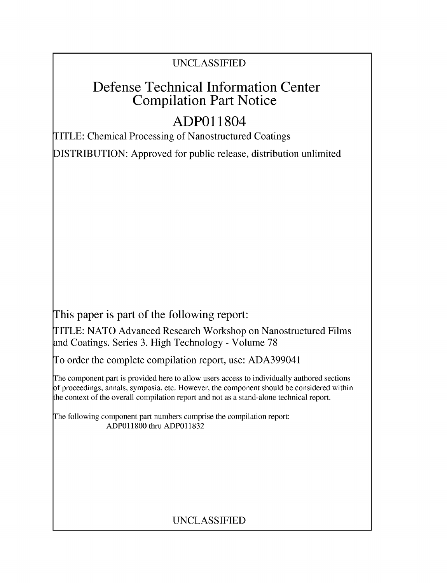## UNCLASSIFIED

# Defense Technical Information Center Compilation Part Notice

# **ADPO** 11804

TITLE: Chemical Processing of Nanostructured Coatings

DISTRIBUTION: Approved for public release, distribution unlimited

This paper is part of the following report:

TITLE: NATO Advanced Research Workshop on Nanostructured Films and Coatings. Series 3. High Technology - Volume 78

To order the complete compilation report, use: ADA399041

The component part is provided here to allow users access to individually authored sections f proceedings, annals, symposia, etc. However, the component should be considered within [he context of the overall compilation report and not as a stand-alone technical report.

The following component part numbers comprise the compilation report: ADPO11800 thru ADP011832

## UNCLASSIFIED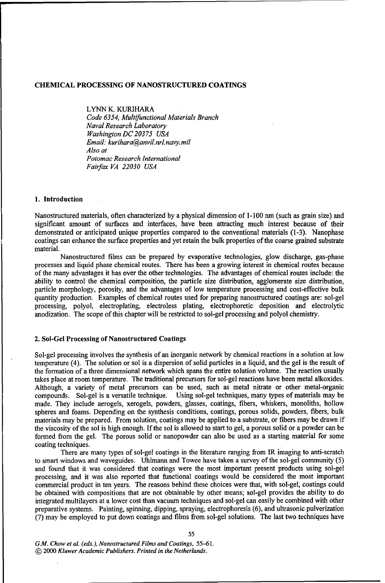#### **CHEMICAL PROCESSING** OF **NANOSTRUCTURED COATINGS**

LYNN K. KURIHARA *Code 6354, Multifunctional Materials Branch Naval Research Laboratory Washington DC 20375 USA Email: kurihara@anvil.nrl.navy.mil Also at Potomac Research International Fairfax VA 22030 USA*

### **1.** Introduction

Nanostructured materials, often characterized by a physical dimension of 1-100 nm (such as grain size) and significant amount of surfaces and interfaces, have been attracting much interest because of their demonstrated or anticipated unique properties compared to the conventional materials (1-3). Nanophase coatings can enhance the surface properties and yet retain the bulk properties of the coarse grained substrate material.

Nanostructured films can be prepared by evaporative technologies, glow discharge, gas-phase processes and liquid phase chemical routes. There has been a growing interest in chemical routes because of the many advantages it has over the other technologies. The advantages of chemical routes include: the ability to control the chemical composition, the particle size distribution, agglomerate size distribution, particle morphology, porosity, and the advantages of low temperature processing and cost-effective bulk quantity production. Examples of chemical routes used for preparing nanostructured coatings are: sol-gel processing, polyol, electroplating, electroless plating, electrophoretic deposition and electrolytic anodization. The scope of this chapter will be restricted to sol-gel processing and polyol chemistry.

#### 2. Sol-Gel Processing of Nanostructured Coatings

Sol-gel processing involves the synthesis of an inorganic network by chemical reactions in a solution at low temperature (4). The solution or sol is a dispersion of solid particles in a liquid, and the gel is the result of the formation of a three dimensional network which spans the entire solution volume. The reaction usually takes place at room temperature. The traditional precursors for sol-gel reactions have been metal alkoxides. Although, a variety of metal precursors can be used, such as metal nitrate or other metal-organic compounds. Sol-gel is a versatile technique. Using sol-gel techniques, many types of materials may be made. They include aerogels, xerogels, powders, glasses, coatings, fibers, whiskers, monoliths, hollow spheres and foams. Depending on the synthesis conditions, coatings, porous solids, powders, fibers, bulk materials may be prepared. From solution, coatings may be applied to a substrate, or fibers may be drawn if the viscosity of the sol is high enough. If the sol is allowed to start to gel, a porous solid or a powder can be formed from the gel. The porous solid or nanopowder can also be used as a starting material for some coating techniques.

There are many types of sol-gel coatings in the literature ranging from IR imaging to anti-scratch to smart windows and waveguides. Uhlmann and Towee have taken a survey of the sol-gel community (5) and found that it was considered that coatings were the most important present products using sol-gel processing, and it was also reported that functional coatings would be considered the most important commercial product in ten years. The reasons behind these choices were that, with sol-gel, coatings could be obtained with compositions that are not obtainable by other means; sol-gel provides the ability to do integrated multilayers at a lower cost than vacuum techniques and sol-gel can easily be combined with other preparative systems. Painting, spinning, dipping, spraying, electrophoresis (6), and ultrasonic pulverization (7) may be employed to put down coatings and films from sol-gel solutions. The last two techniques have

*G.M. Chow et al. (eds.), Nanostructured Films and Coatings,* 55-61. **@** 2000 *Kluwer Academic Publishers. Printed in the Netherlands.*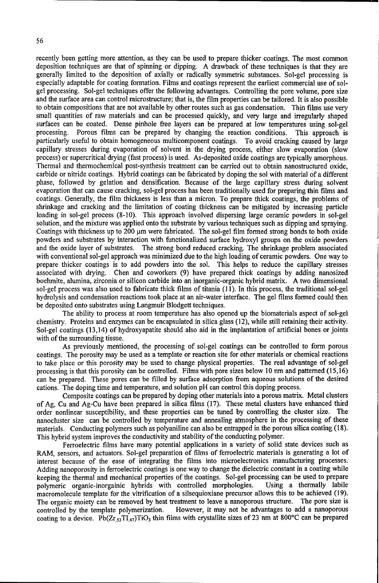recently been getting more attention, as they can be used to prepare thicker coatings. The most common deposition techniques are that of spinning or dipping. A drawback of these techniques is that they are generally limited to the deposition of axially or radically symmetric substances. Sol-gel processing is especially adaptable for coating formation. Films and coatings represent the earliest commercial use of solgel processing. Sol-gel techniques offer the following advantages. Controlling the pore volume, pore size and the surface area can control microstructure; that is, the film properties can be tailored. It is also possible to obtain compositions that are not available by other routes such as gas condensation. Thin films use very small quantities of raw materials and can be processed quickly, and very large and irregularly shaped surfaces can be coated. Dense pinhole free layers can be prepared at low temperatures using sol-gel processing. Porous films can be prepared by changing the reaction conditions. This approach is particularly useful to obtain homogeneous multicomponent coatings. To avoid cracking caused by large capillary stresses during evaporation of solvent in the drying process, either slow evaporation (slow process) or supercritical drying (fast process) is used. As-deposited oxide coatings are typically amorphous. Thermal and thermochemical post-synthesis treatment can be carried out to obtain nanostructured oxide, carbide or nitride coatings. Hybrid coatings can be fabricated by doping the sol with material of a different phase, followed by gelation and densification. Because of the large capillary stress during solvent evaporation that can cause cracking, sol-gel process has been traditionally used for preparing thin films and coatings. Generally, the film thickness is less than a micron. To prepare thick coatings, the problems of shrinkage and cracking and the limitation of coating thickness can be mitigated by increasing particle loading in sol-gel process (8-10). This approach involved dispersing large ceramic powders in sol-gel solution, and the mixture was applied onto the substrate by various techniques such as dipping and spraying. Coatings with thickness up to  $200 \mu m$  were fabricated. The sol-gel film formed strong bonds to both oxide powders and substrates by interaction with functionalized surface hydroxyl groups on the oxide powders and the oxide layer of substrates. The strong bond reduced cracking. The shrinkage problem associated with conventional sol-gel approach was minimized due to the high loading of ceramic powders. One way to prepare thicker coatings is to add powders into the sol. This helps to reduce the capillary stresses associated with drying. Chen and coworkers (9) have prepared thick coatings by adding nanosized boehmite, alumina, zirconia or silicon carbide into an inorganic-organic hybrid matrix. A two dimensional sol-gel process was also used to fabricate thick films of titania (11). In this process, the traditional sol-gel hydrolysis and condensation reactions took place at an air-water interface. The gel films formed could then be deposited onto substrates using Langmuir Blodgett techniques.

The ability to process at room temperature has also opened up the biomaterials aspect of sol-gel chemistry. Proteins and enzymes can be encapsulated in silica glass (12), while still retaining their activity. Sol-gel coatings (13,14) of hydroxyapatite should also aid in the implantation of artificial bones or joints with of the surrounding tissue.

As previously mentioned, the processing of sol-gel coatings can be controlled to form porous coatings. The porosity may be used as a template or reaction site for other materials or chemical reactions to take place or this porosity may be used to change physical properties. The real advantage of sol-gel processing is that this porosity can be controlled. Films with pore sizes below 10 nm and patterned (15,16) can be prepared. These pores can be filled by surface adsorption from aqueous solutions of the desired cations. The doping time and temperature, and solution pH can control this doping process.

Composite coatings can be prepared by doping other materials into a porous matrix. Metal clusters of Ag, Cu and Ag-Cu have been prepared in silica films (17). These metal clusters have enhanced third order nonlinear susceptibility, and these properties can be tuned by controlling the cluster size. The nanocluster size can be controlled by temperature and annealing atmosphere in the processing of these materials. Conducting polymers such as polyaniline can also be entrapped in the porous silica coating (18). This hybrid system improves the conductivity and stability of the conducting polymer.

Ferroelectric films have many potential applications in a variety of solid state devices such as RAM, sensors, and actuators. Sol-gel preparation of films of ferroelectric materials is generating a lot of interest because of the ease of integrating the films into microelectronics manufacturing processes. Adding nanoporosity in ferroelectric coatings is one way to change the dielectric constant in a coating while keeping the thermal and mechanical properties of the coatings. Sol-gel processing can be used to prepare polymeric organic-inorgainic hybrids with controlled morphologies. Using a thermally labile macromolecule template for the vitrification of a silsequioxiane precursor allows this to be achieved (19). The organic moiety can be removed by heat treatment to leave a nanoporous structure. The pore size is controlled by the template polymerization. However, it may not be advantages to add a nanoporous coating to a device. Pb( $Zr_{.53}TI_{.47}$ )TiO<sub>3</sub> thin films with crystallite sizes of 23 nm at 800°C can be prepared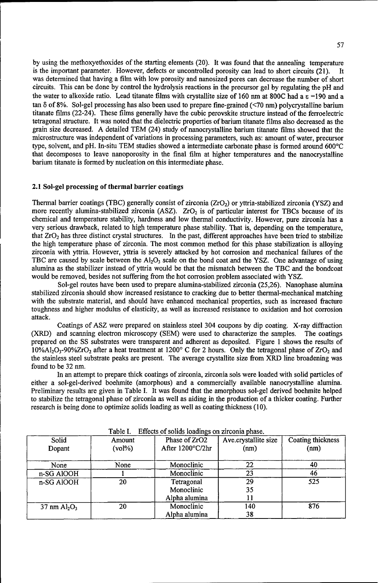by using the methoxyethoxides of the starting elements (20). It was found that the annealing temperature is the important parameter. However, defects or uncontrolled porosity can lead to short circuits (21). It was determined that having a film with low porosity and nanosized pores can decrease the number of short circuits. This can be done by control the hydrolysis reactions in the precursor gel by regulating the pH and the water to alkoxide ratio. Lead titanate films with crystallite size of 160 nm at 800C had a  $\epsilon$  =190 and a tan **5** of 8%. Sol-gel processing has also been used to prepare fine-grained (<70 nm) polycrystalline barium titanate films (22-24). These films generally have the cubic perovskite structure instead of the ferroelectric tetragonal structure. It was noted that the dielectric properties of barium titanate films also decreased as the grain size decreased. A detailed TEM (24) study of nanocrystalline barium titanate films showed that the microstructure was independent of variations in processing parameters, such as: amount of water, precursor type, solvent, and pH. In-situ TEM studies showed a intermediate carbonate phase is formed around **600<sup>0</sup> C** that decomposes to leave nanoporosity in the final film at higher temperatures and the nanocrystalline barium titanate is formed by nucleation on this intermediate phase.

### 2.1 Sol-gel processing of thermal barrier coatings

Thermal barrier coatings (TBC) generally consist of zirconia  $(ZrO<sub>2</sub>)$  or yttria-stabilized zirconia (YSZ) and more recently alumina-stabilized zirconia (ASZ).  $ZrO<sub>2</sub>$  is of particular interest for TBCs because of its chemical and temperature stability, hardness and low thermal conductivity. However, pure zirconia has a very serious drawback, related to high temperature phase stability. That is, depending on the temperature, that  $ZrO<sub>2</sub>$  has three distinct crystal structures. In the past, different approaches have been tried to stabilize the high temperature phase of zirconia. The most common method for this phase stabilization is alloying zirconia with yttria. However, yttria is severely attacked by hot corrosion and mechanical failures of the TBC are caused by scale between the **A1203** scale on the bond coat and the YSZ. One advantage of using alumina as the stabilizer instead of yttria would be that the mismatch between the TBC and the bondcoat would be removed, besides not suffering from the hot corrosion problem associated with YSZ.

Sol-gel routes have been used to prepare alumina-stabilized zirconia (25,26). Nanophase alumina stabilized zirconia should show increased resistance to cracking due to better thermal-mechanical matching with the substrate material, and should have enhanced mechanical properties, such as increased fracture toughness and higher modulus of elasticity, as well as increased resistance to oxidation and hot corrosion attack.

Coatings of ASZ were prepared on stainless steel 304 coupons by dip coating. X-ray diffraction (XRD) and scanning electron microscopy (SEM) were used to characterize the samples. The coatings prepared on the SS substrates were transparent and adherent as deposited. Figure 1 shows the results of  $10\%$ Al<sub>2</sub>O<sub>3</sub>-90%ZrO<sub>2</sub> after a heat treatment at 1200 $^{\circ}$  C for 2 hours. Only the tetragonal phase of ZrO<sub>2</sub> and the stainless steel substrate peaks are present. The average crystallite size from XRD line broadening was found to be 32 nm.

In an attempt to prepare thick coatings of zirconia, zirconia sols were loaded with solid particles of either a sol-gel-derived boehmite (amorphous) and a commercially available nanocrystalline alumina. Preliminary results are given in Table I. It was found that the amorphous sol-gel derived boehmite helped to stabilize the tetragonal phase of zirconia as well as aiding in the production of a thicker coating. Further research is being done to optimize solids loading as well as coating thickness (10).

| Solid                                          | Amount      | Phase of ZrO2    | Ave.crystallite size | Coating thickness |
|------------------------------------------------|-------------|------------------|----------------------|-------------------|
| Dopant                                         | $(v_0 v_0)$ | After 1200°C/2hr | (nm)                 | (nm)              |
|                                                |             |                  |                      |                   |
| None                                           | None        | Monoclinic       | 22                   | 40                |
| n-SG AlOOH                                     |             | Monoclinic       | 23                   | 46                |
| n-SG AlOOH                                     | 20          | Tetragonal       | 29                   | 525               |
|                                                |             | Monoclinic       | 35                   |                   |
|                                                |             | Alpha alumina    | 11                   |                   |
| $37 \text{ nm}$ Al <sub>2</sub> O <sub>3</sub> | 20          | Monoclinic       | 140                  | 876               |
|                                                |             | Alpha alumina    | 38                   |                   |

Table I. Effects of solids loadings on zirconia phase.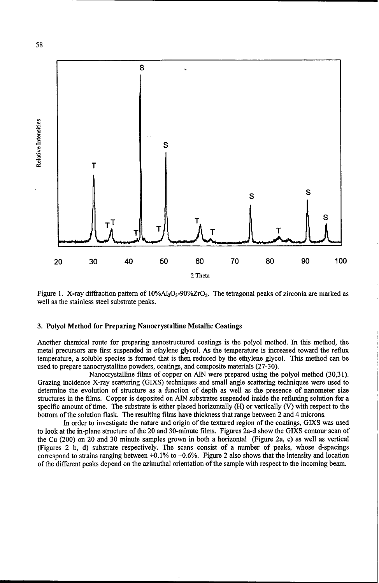

Figure 1. X-ray diffraction pattern of 10%Al<sub>2</sub>O<sub>3</sub>-90%ZrO<sub>2</sub>. The tetragonal peaks of zirconia are marked as well as the stainless steel substrate peaks.

#### 3. Polyol Method for Preparing Nanocrystalline Metallic Coatings

Another chemical route for preparing nanostructured coatings is the polyol method. In this method, the metal precursors are first suspended in ethylene glycol. As the temperature is increased toward the reflux temperature, a soluble species is formed that is then reduced by the ethylene glycol. This method can be used to prepare nanocrystalline powders, coatings, and composite materials (27-30).

Nanocrystalline films of copper on AIN were prepared using the polyol method (30,31). Grazing incidence X-ray scattering (GIXS) techniques and small angle scattering techniques were used to determine the evolution of structure as a function of depth as well as the presence of nanometer size structures in the films. Copper is deposited on **AIN** substrates suspended inside the refluxing solution for a specific amount of time. The substrate is either placed horizontally (H) or vertically (V) with respect to the bottom of the solution flask. The resulting films have thickness that range between 2 and 4 microns.

In order to investigate the nature and origin of the textured region of the coatings, GIXS was used to look at the in-plane structure of the 20 and 30-minute films. Figures 2a-d show the GIXS contour scan of the Cu (200) on 20 and 30 minute samples grown in both a horizontal (Figure 2a, c) as well as vertical (Figures 2 b, d) substrate respectively. The scans consist of a number of peaks, whose d-spacings correspond to strains ranging between  $+0.1\%$  to  $-0.6\%$ . Figure 2 also shows that the intensity and location of the different peaks depend on the azimuthal orientation of the sample with respect to the incoming beam.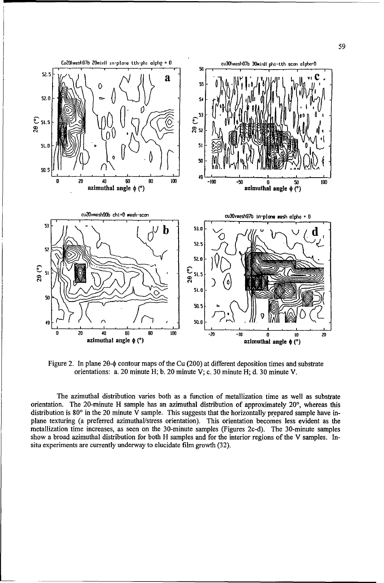

Figure 2. In plane 20-4 contour maps of the Cu (200) at different deposition times and substrate orientations: a. 20 minute H; b. 20 minute V; c. 30 minute H; d. 30 minute V.

The azimuthal distribution varies both as a function of metallization time as well as substrate orientation. The 20-minute H sample has an azimuthal distribution of approximately 20', whereas this distribution is 80 $\degree$  in the 20 minute V sample. This suggests that the horizontally prepared sample have inplane texturing (a preferred azimuthal/stress orientation). This orientation becomes less evident as the metallization time increases, as seen on the 30-minute samples (Figures 2c-d). The 30-minute samples show a broad azimuthal distribution for both H samples and for the interior regions of the V samples. Insitu experiments are currently underway to elucidate film growth (32).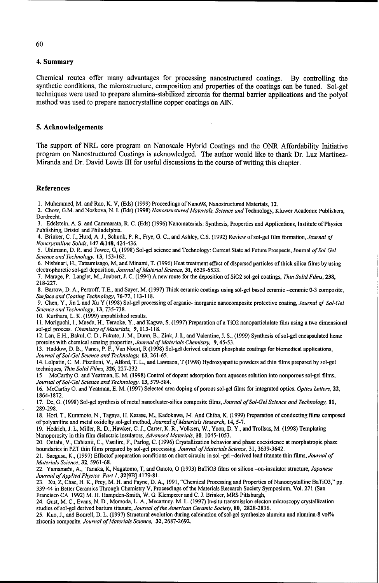#### 4. Summary

Chemical routes offer many advantages for processing nanostructured coatings. By controlling the synthetic conditions, the microstructure, composition and properties of the coatings can be tuned. Sol-gel techniques were used to prepare alumina-stabilized zirconia for thermal barrier applications and the polyol method was used to prepare nanocrystalline copper coatings on AIN.

#### 5. Acknowledgements

The support of NRL core program on Nanoscale Hybrid Coatings and the ONR Affordability Initiative program on Nanostructured Coatings is acknowledged. The author would like to thank Dr. Luz Martinez-Miranda and Dr. David Lewis III for useful discussions in the course of writing this chapter.

#### References

1. Mohammed, M. and Rao, K. V, (Eds) (1999) Proceedings of Nano98, Nanostructured Materials, 12.

- 2. Chow, G.M. and Noskova, N. 1. (Eds) (1998) *Nanostructured Materials, Science* and Technology, Kluwer Academic Publishers, Dordrecht.
- 3. Edelstein, A. S. and Cammarata, R. C. (Eds) (1996) Nanomaterials: Synthesis, Properties and Applications, Institute of Physics Publishing, Bristol and Philadelphia.
- 4. Brinker, C. J., Hurd, A. J., Schunk, P. R., Frye, G. C., and Ashley, C.S. (1992) Review of sol-gel film formation, *Journal of Noncrystalline Solids,* 147 &148, 424-436.

5. Uhlmann, D. R. and Towee, G, (1998) Sol-gel science and Technology: Current State ad Future Prospects, Journal *of Sol-Gel Science and Technology.* **13, 153-162.**

6. Nishinari, H., Tatsumisago, M, and Minami, T. (1996) Heat treatment effect of dispersed particles of thick silica films by using electrophoretic sol-gel deposition, *Journal of Material Science,* **31,** 6529-6533.

7. Marage, P. Langlet, M., Joubert, **J.** C. (1994) A new route for the deposition of Si02 sol-gel coatings, *Thin Solid Films,* 238, 218-227.

8. Barrow, D. A., Pertroff, T.E., and Sayer, M. (1997) Thick ceramic coatings using sol-gel based ceramic -ceramic 0-3 composite, *Surface and Coating Technology,* 76-77, 113-118.

9. Chen, Y., Jin L and Xu Y (1998) Sol-gel processing of organic- inorganic nanocomposite protective coating, *Journal of Sol-Gel Science and Technology,* **13,** 735-738.

10. Kurihara, L. K. (1999) unpublished results.

11. Moriguchi, I., Macda, H., Teraoke, Y., and Kagwa, S. (1997) Preparation of a TiO2 nanoparticlulate film using a two dimensional sol-gel process. *Chemistry of Materials,* 9, 113-118.

12. Lan, E.H., Bakul, C. D., Fukuto, **J.** M., Dunn, B., Zink, **J. I.,** and Valentine, **J.** S., (1999) Synthesis of sol-gel encapsulated heme proteins with chemical sensing properties, *Journal of Materials Chemistry,* **9, 45-53.**

13. Haddow, D. B., Vanes, P. F., Van Noort, R (1998) Sol-gel derived calcium phosphate coatings for biomedical applications, *Journal of Sol-Gel Science and Technology,* 13, 261-65.

14. Lolpatin, C. M. Pizziloni, V., Alford, T. L., and Lawsaon, T (1998) Hydroxyapatite powders ad thin films prepared by sol-gel techniques, *Thin Solid Films,* **326,** 227-232

15 McCarthy **0.** and Yeatman, E. M. (1998) Control of dopant adsorption from aqueous solution into nonporous sol-gel films, *Journal of Sol-Gel Science and Technology.* **13, 579-584.**

16. McCarthy **0.** and Yeatman, E. M. (1997) Selected area doping of porous sol-gel films for integrated optics. *Optics Letters,* 22, 1864-1872.

17. De, G. (1998) Sol-gel synthesis of metal nanocluster-silica composite films, *Journal of Sol-Gel Science and Technology*, 11, 289-298.

18. Hori, T., Kuramoto, N., Tagaya, H. Karase, M., Kadokawa, **J-1.** And Chiba, K. (1999) Preparation of conducting films composed of polyaniline and metal oxide by sol-gel method, *Journal of Materials Research,* 14, **5-7.**

19. Hedrich, **J.** L, Miller, R. **D.,** Hawker, C. J., Carter, K. R., Volksen, W., Yoon, D. Y., and Trollsas, M. (1998) Templating Nanoporosity in thin film dielectric insulators, *Advanced Materials,* **10,** 1045-1053.

20. Ontalu, V., Cabianii, C., Vasilire, F., Parlog, C. (1996) Crystallization behavior and phase coexistence at morphatropic phase boundaries in PZT thin films prepared by sol-gel processing *Journal of Materials Science,* 31, 3639-3642.

21. Saegusa, K., (1997) Effectof preparation conditions on short circuits in sol -gel -derived lead titanate thin films, *Journal of Materials Science,* 32, 5961-68.

22. Yamanashi, A., Tanaka, K, Nagatomo, T, and Omoto, **0** (1993) BaTiO3 films on silicon -on-insulator structure, *Japanese Journal of Applied Physics. Part 1,* 32[9B] 4179-81.

23. Xu, Z, Chae, H. K., Frey, M. H. and Payne, **D.** A., 1991, "Chemical Processing and Properties of Nanocrystalline BaTiO3," pp. 339-44 in Better Ceramics Through Chemistry V, Proceedings of the Materials Research Society Symposium, Vol. 271 (San Francisco CA 1992) M. H. Hampden-Smith, W. G. Klemperer and C. **J.** Brinker, MRS Pittsburgh,

24. Gust, M. C., Evans, N. D., Momoda, L. A., Mecartney, M. L. (1997) In-situ transmission electon microscopy crystallization studies of sot-gel derived barium titanate, *Journal of the American Ceramic Society,* 80, 2828-2836.

25. Kuo, **J.,** and Bourell, D. L. (1997) Structural evolution during calcination of sol-gel synthesize alumina and alumina-8 vol% zirconia composite. *Journal of Materials Science,* 32, 2687-2692.